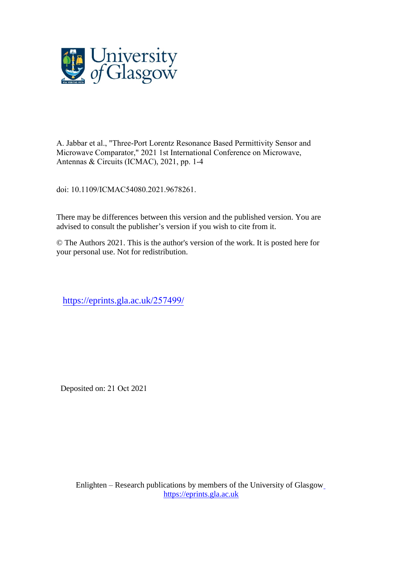

A. Jabbar et al., "Three-Port Lorentz Resonance Based Permittivity Sensor and Microwave Comparator," 2021 1st International Conference on Microwave, Antennas & Circuits (ICMAC), 2021, pp. 1-4

doi: 10.1109/ICMAC54080.2021.9678261.

There may be differences between this version and the published version. You are [advised to consult the publisher's version i](https://doi.org/10.1145/3490100.3516472)f you wish to cite from it.

© The Authors 2021. This is the author's version of the work. It is posted here for y[our personal use. Not for redistribution.](https://eprints.gla.ac.uk/267395/)

https://eprints.gla.ac.uk/257499/

Deposited on: 21 Oct 2021

Enlighten – Research publications by members of the University of Glasgo[w](http://eprints.gla.ac.uk/) [https://eprints.gla.ac.uk](http://eprints.gla.ac.uk/)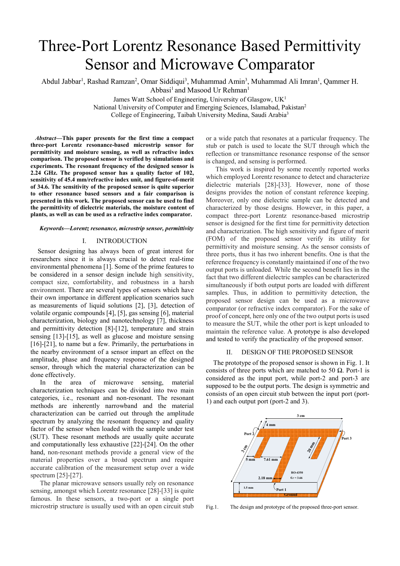# Three-Port Lorentz Resonance Based Permittivity Sensor and Microwave Comparator

Abdul Jabbar<sup>1</sup>, Rashad Ramzan<sup>2</sup>, Omar Siddiqui<sup>3</sup>, Muhammad Amin<sup>3</sup>, Muhammad Ali Imran<sup>1</sup>, Qammer H. Abbasi<sup>1</sup> and Masood Ur Rehman<sup>1</sup>

> James Watt School of Engineering, University of Glasgow, UK<sup>1</sup> National University of Computer and Emerging Sciences, Islamabad, Pakistan<sup>2</sup>

College of Engineering, Taibah University Medina, Saudi Arabia<sup>3</sup>

*Abstract***—This paper presents for the first time a compact three-port Lorentz resonance-based microstrip sensor for permittivity and moisture sensing, as well as refractive index comparison. The proposed sensor is verified by simulations and experiments. The resonant frequency of the designed sensor is 2.24 GHz. The proposed sensor has a quality factor of 102, sensitivity of 45.4 mm/refractive index unit, and figure-of-merit of 34.6. The sensitivity of the proposed sensor is quite superior to other resonance based sensors and a fair comparison is presented in this work. The proposed sensor can be used to find the permittivity of dielectric materials, the moisture content of plants, as well as can be used as a refractive index comparator.** 

## *Keywords—Lorentz resonance, microstrip sensor, permittivity*

# I. INTRODUCTION

Sensor designing has always been of great interest for researchers since it is always crucial to detect real-time environmental phenomena [1]. Some of the prime features to be considered in a sensor design include high sensitivity, compact size, comfortability, and robustness in a harsh environment. There are several types of sensors which have their own importance in different application scenarios such as measurements of liquid solutions [2], [3], detection of volatile organic compounds [4], [5], gas sensing [6], material characterization, biology and nanotechnology [7], thickness and permittivity detection [8]-[12], temperature and strain sensing [13]-[15], as well as glucose and moisture sensing [16]-[21], to name but a few. Primarily, the perturbations in the nearby environment of a sensor impart an effect on the amplitude, phase and frequency response of the designed sensor, through which the material characterization can be done effectively.

In the area of microwave sensing, material characterization techniques can be divided into two main categories, i.e., resonant and non-resonant. The resonant methods are inherently narrowband and the material characterization can be carried out through the amplitude spectrum by analyzing the resonant frequency and quality factor of the sensor when loaded with the sample under test (SUT). These resonant methods are usually quite accurate and computationally less exhaustive [22]-[24]. On the other hand, non-resonant methods provide a general view of the material properties over a broad spectrum and require accurate calibration of the measurement setup over a wide spectrum [25]-[27].

 The planar microwave sensors usually rely on resonance sensing, amongst which Lorentz resonance [28]-[33] is quite famous. In these sensors, a two-port or a single port microstrip structure is usually used with an open circuit stub or a wide patch that resonates at a particular frequency. The stub or patch is used to locate the SUT through which the reflection or transmittance resonance response of the sensor is changed, and sensing is performed.

 This work is inspired by some recently reported works which employed Lorentz resonance to detect and characterize dielectric materials [28]-[33]. However, none of those designs provides the notion of constant reference keeping. Moreover, only one dielectric sample can be detected and characterized by those designs. However, in this paper, a compact three-port Lorentz resonance-based microstrip sensor is designed for the first time for permittivity detection and characterization. The high sensitivity and figure of merit (FOM) of the proposed sensor verify its utility for permittivity and moisture sensing. As the sensor consists of three ports, thus it has two inherent benefits. One is that the reference frequency is constantly maintained if one of the two output ports is unloaded. While the second benefit lies in the fact that two different dielectric samples can be characterized simultaneously if both output ports are loaded with different samples. Thus, in addition to permittivity detection, the proposed sensor design can be used as a microwave comparator (or refractive index comparator). For the sake of proof of concept, here only one of the two output ports is used to measure the SUT, while the other port is kept unloaded to maintain the reference value. A prototype is also developed and tested to verify the practicality of the proposed sensor.

### II. DESIGN OF THE PROPOSED SENSOR

The prototype of the proposed sensor is shown in Fig. 1. It consists of three ports which are matched to 50  $\Omega$ . Port-1 is considered as the input port, while port-2 and port-3 are supposed to be the output ports. The design is symmetric and consists of an open circuit stub between the input port (port-1) and each output port (port-2 and 3).



Fig.1. The design and prototype of the proposed three-port sensor.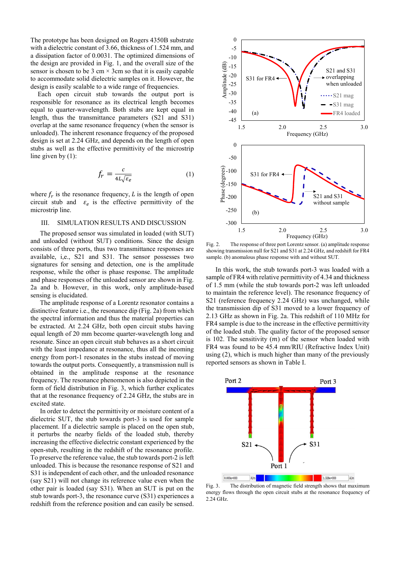The prototype has been designed on Rogers 4350B substrate with a dielectric constant of 3.66, thickness of 1.524 mm, and a dissipation factor of 0.0031. The optimized dimensions of the design are provided in Fig. 1, and the overall size of the sensor is chosen to be 3 cm  $\times$  3 cm so that it is easily capable to accommodate solid dielectric samples on it. However, the design is easily scalable to a wide range of frequencies.

Each open circuit stub towards the output port is responsible for resonance as its electrical length becomes equal to quarter-wavelength. Both stubs are kept equal in length, thus the transmittance parameters (S21 and S31) overlap at the same resonance frequency (when the sensor is unloaded). The inherent resonance frequency of the proposed design is set at 2.24 GHz, and depends on the length of open stubs as well as the effective permittivity of the microstrip line given by (1):

$$
f_r = \frac{c}{4L\sqrt{\varepsilon_e}}\tag{1}
$$

where  $f_r$  is the resonance frequency, L is the length of open circuit stub and  $\varepsilon_e$  is the effective permittivity of the microstrip line.

## III. SIMULATION RESULTS AND DISCUSSION

The proposed sensor was simulated in loaded (with SUT) and unloaded (without SUT) conditions. Since the design consists of three ports, thus two transmittance responses are available, i,e., S21 and S31. The sensor possesses two signatures for sensing and detection, one is the amplitude response, while the other is phase response. The amplitude and phase responses of the unloaded sensor are shown in Fig. 2a and b. However, in this work, only amplitude-based sensing is elucidated.

The amplitude response of a Lorentz resonator contains a distinctive feature i.e., the resonance dip (Fig. 2a) from which the spectral information and thus the material properties can be extracted. At 2.24 GHz, both open circuit stubs having equal length of 20 mm become quarter-wavelength long and resonate. Since an open circuit stub behaves as a short circuit with the least impedance at resonance, thus all the incoming energy from port-1 resonates in the stubs instead of moving towards the output ports. Consequently, a transmission null is obtained in the amplitude response at the resonance frequency. The resonance phenomenon is also depicted in the form of field distribution in Fig. 3, which further explicates that at the resonance frequency of 2.24 GHz, the stubs are in excited state.

In order to detect the permittivity or moisture content of a dielectric SUT, the stub towards port-3 is used for sample placement. If a dielectric sample is placed on the open stub, it perturbs the nearby fields of the loaded stub, thereby increasing the effective dielectric constant experienced by the open-stub, resulting in the redshift of the resonance profile. To preserve the reference value, the stub towards port-2 is left unloaded. This is because the resonance response of S21 and S31 is independent of each other, and the unloaded resonance (say S21) will not change its reference value even when the other pair is loaded (say S31). When an SUT is put on the stub towards port-3, the resonance curve (S31) experiences a redshift from the reference position and can easily be sensed.



Fig. 2. The response of three port Lorentz sensor. (a) amplitude response showing transmission null for S21 and S31 at 2.24 GHz, and redshift for FR4 sample. (b) anomalous phase response with and without SUT.

In this work, the stub towards port-3 was loaded with a sample of FR4 with relative permittivity of 4.34 and thickness of 1.5 mm (while the stub towards port-2 was left unloaded to maintain the reference level). The resonance frequency of S21 (reference frequency 2.24 GHz) was unchanged, while the transmission dip of S31 moved to a lower frequency of 2.13 GHz as shown in Fig. 2a. This redshift of 110 MHz for FR4 sample is due to the increase in the effective permittivity of the loaded stub. The quality factor of the proposed sensor is 102. The sensitivity  $(m)$  of the sensor when loaded with FR4 was found to be 45.4 mm/RIU (Refractive Index Unit) using (2), which is much higher than many of the previously reported sensors as shown in Table I.



Fig. 3. The distribution of magnetic field strength shows that maximum energy flows through the open circuit stubs at the resonance frequency of 2.24 GHz.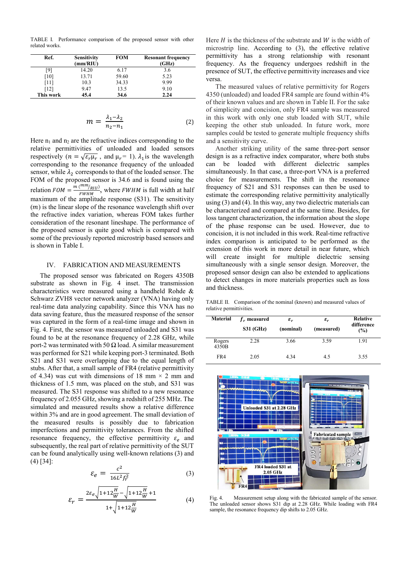TABLE I. Performance comparison of the proposed sensor with other related works.

| Ref.      | <b>Sensitivity</b><br>(mm/RIU) | <b>FOM</b> | <b>Resonant frequency</b><br>(GHz) |
|-----------|--------------------------------|------------|------------------------------------|
| [9]       | 14.20                          | 6.17       | 3.6                                |
| [10]      | 13.71                          | 59.60      | 5.23                               |
| [11]      | 10.3                           | 34.33      | 9.99                               |
| [12]      | 9.47                           | 13.5       | 9.10                               |
| This work | 45.4                           | 34.6       | 2.24                               |

$$
m = \frac{\lambda_1 - \lambda_2}{n_2 - n_1} \tag{2}
$$

Here  $n_1$  and  $n_2$  are the refractive indices corresponding to the relative permittivities of unloaded and loaded sensors respectively ( $n = \sqrt{\varepsilon_r \mu_r}$ , and  $\mu_r = 1$ ).  $\lambda_1$  is the wavelength corresponding to the resonance frequency of the unloaded sensor, while  $\lambda_2$  corresponds to that of the loaded sensor. The FOM of the proposed sensor is 34.6 and is found using the relation  $FOM = \frac{m (mm/_{RIU})}{FWHM}$ , where  $FWHM$  is full width at half  $FWHM$ maximum of the amplitude response (S31). The sensitivity  $(m)$  is the linear slope of the resonance wavelength shift over the refractive index variation, whereas FOM takes further consideration of the resonant lineshape. The performance of the proposed sensor is quite good which is compared with some of the previously reported microstrip based sensors and is shown in Table I.

## IV. FABRICATION AND MEASUREMENTS

The proposed sensor was fabricated on Rogers 4350B substrate as shown in Fig. 4 inset. The transmission characteristics were measured using a handheld Rohde & Schwarz ZVH8 vector network analyzer (VNA) having only real-time data analyzing capability. Since this VNA has no data saving feature, thus the measured response of the sensor was captured in the form of a real-time image and shown in Fig. 4. First, the sensor was measured unloaded and S31 was found to be at the resonance frequency of 2.28 GHz, while port-2 was terminated with 50 Ω load. A similar measurement was performed for S21 while keeping port-3 terminated. Both S21 and S31 were overlapping due to the equal length of stubs. After that, a small sample of FR4 (relative permittivity of 4.34) was cut with dimensions of 18 mm  $\times$  2 mm and thickness of 1.5 mm, was placed on the stub, and S31 was measured. The S31 response was shifted to a new resonance frequency of 2.055 GHz, showing a redshift of 255 MHz. The simulated and measured results show a relative difference within 3% and are in good agreement. The small deviation of the measured results is possibly due to fabrication imperfections and permittivity tolerances. From the shifted resonance frequency, the effective permittivity  $\varepsilon_e$  and subsequently, the real part of relative permittivity of the SUT can be found analytically using well-known relations (3) and (4) [34]:

$$
\varepsilon_e = \frac{c^2}{16L^2 f_r^2} \tag{3}
$$

$$
\varepsilon_r = \frac{2\varepsilon_e \sqrt{1 + 12\frac{H}{W}} - \sqrt{1 + 12\frac{H}{W}} + 1}{1 + \sqrt{1 + 12\frac{H}{W}}}
$$
(4)

Here  $H$  is the thickness of the substrate and  $W$  is the width of microstrip line. According to (3), the effective relative permittivity has a strong relationship with resonant frequency. As the frequency undergoes redshift in the presence of SUT, the effective permittivity increases and vice versa.

The measured values of relative permittivity for Rogers 4350 (unloaded) and loaded FR4 sample are found within 4% of their known values and are shown in Table II. For the sake of simplicity and concision, only FR4 sample was measured in this work with only one stub loaded with SUT, while keeping the other stub unloaded. In future work, more samples could be tested to generate multiple frequency shifts and a sensitivity curve.

Another striking utility of the same three-port sensor design is as a refractive index comparator, where both stubs can be loaded with different dielectric samples simultaneously. In that case, a three-port VNA is a preferred choice for measurements. The shift in the resonance frequency of S21 and S31 responses can then be used to estimate the corresponding relative permittivity analytically using (3) and (4). In this way, any two dielectric materials can be characterized and compared at the same time. Besides, for loss tangent characterization, the information about the slope of the phase response can be used. However, due to concision, it is not included in this work. Real-time refractive index comparison is anticipated to be performed as the extension of this work in more detail in near future, which will create insight for multiple dielectric sensing simultaneously with a single sensor design. Moreover, the proposed sensor design can also be extended to applications to detect changes in more materials properties such as loss and thickness.

TABLE II. Comparison of the nominal (known) and measured values of relative permittivities.

| <b>Material</b> | $f_r$ measured<br><b>S31 (GHz)</b> | $\pmb{\varepsilon}_r$<br>(nominal) | $\varepsilon_r$<br>(measured) | <b>Relative</b><br>difference<br>(%) |
|-----------------|------------------------------------|------------------------------------|-------------------------------|--------------------------------------|
| Rogers<br>4350B | 2.28                               | 3.66                               | 3.59                          | 1.91                                 |
| FR4             | 2.05                               | 4.34                               | 4.5                           | 3.55                                 |



Fig. 4. Measurement setup along with the fabricated sample of the sensor. The unloaded sensor shows S31 dip at 2.28 GHz. While loading with FR4 sample, the resonance frequency dip shifts to 2.05 GHz.